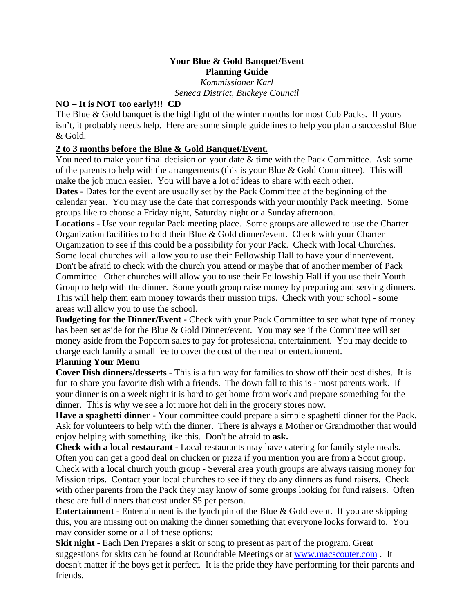# **Your Blue & Gold Banquet/Event Planning Guide**

*Kommissioner Karl Seneca District, Buckeye Council* 

# **NO – It is NOT too early!!! CD**

The Blue & Gold banquet is the highlight of the winter months for most Cub Packs. If yours isn't, it probably needs help. Here are some simple guidelines to help you plan a successful Blue & Gold.

# **2 to 3 months before the Blue & Gold Banquet/Event.**

You need to make your final decision on your date  $&$  time with the Pack Committee. Ask some of the parents to help with the arrangements (this is your Blue & Gold Committee). This will make the job much easier. You will have a lot of ideas to share with each other.

**Dates** - Dates for the event are usually set by the Pack Committee at the beginning of the calendar year. You may use the date that corresponds with your monthly Pack meeting. Some groups like to choose a Friday night, Saturday night or a Sunday afternoon.

**Locations** - Use your regular Pack meeting place. Some groups are allowed to use the Charter Organization facilities to hold their Blue & Gold dinner/event. Check with your Charter Organization to see if this could be a possibility for your Pack. Check with local Churches. Some local churches will allow you to use their Fellowship Hall to have your dinner/event.

Don't be afraid to check with the church you attend or maybe that of another member of Pack Committee. Other churches will allow you to use their Fellowship Hall if you use their Youth Group to help with the dinner. Some youth group raise money by preparing and serving dinners. This will help them earn money towards their mission trips. Check with your school - some areas will allow you to use the school.

**Budgeting for the Dinner/Event -** Check with your Pack Committee to see what type of money has been set aside for the Blue & Gold Dinner/event. You may see if the Committee will set money aside from the Popcorn sales to pay for professional entertainment. You may decide to charge each family a small fee to cover the cost of the meal or entertainment.

# **Planning Your Menu**

**Cover Dish dinners/desserts -** This is a fun way for families to show off their best dishes. It is fun to share you favorite dish with a friends. The down fall to this is - most parents work. If your dinner is on a week night it is hard to get home from work and prepare something for the dinner. This is why we see a lot more hot deli in the grocery stores now.

**Have a spaghetti dinner** - Your committee could prepare a simple spaghetti dinner for the Pack. Ask for volunteers to help with the dinner. There is always a Mother or Grandmother that would enjoy helping with something like this. Don't be afraid to **ask.** 

**Check with a local restaurant -** Local restaurants may have catering for family style meals. Often you can get a good deal on chicken or pizza if you mention you are from a Scout group. Check with a local church youth group - Several area youth groups are always raising money for Mission trips. Contact your local churches to see if they do any dinners as fund raisers. Check with other parents from the Pack they may know of some groups looking for fund raisers. Often these are full dinners that cost under \$5 per person.

**Entertainment -** Entertainment is the lynch pin of the Blue & Gold event. If you are skipping this, you are missing out on making the dinner something that everyone looks forward to. You may consider some or all of these options:

**Skit night - Each Den Prepares a skit or song to present as part of the program. Great** suggestions for skits can be found at Roundtable Meetings or at www.macscouter.com . It doesn't matter if the boys get it perfect. It is the pride they have performing for their parents and friends.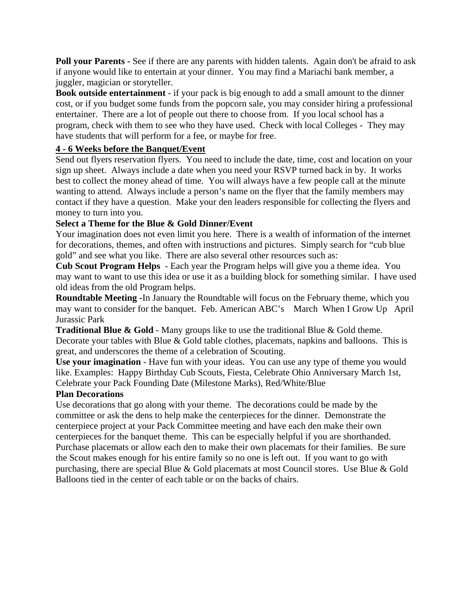**Poll your Parents -** See if there are any parents with hidden talents. Again don't be afraid to ask if anyone would like to entertain at your dinner. You may find a Mariachi bank member, a juggler, magician or storyteller.

**Book outside entertainment** - if your pack is big enough to add a small amount to the dinner cost, or if you budget some funds from the popcorn sale, you may consider hiring a professional entertainer. There are a lot of people out there to choose from. If you local school has a program, check with them to see who they have used. Check with local Colleges - They may have students that will perform for a fee, or maybe for free.

### **4 - 6 Weeks before the Banquet/Event**

Send out flyers reservation flyers. You need to include the date, time, cost and location on your sign up sheet. Always include a date when you need your RSVP turned back in by. It works best to collect the money ahead of time. You will always have a few people call at the minute wanting to attend. Always include a person's name on the flyer that the family members may contact if they have a question. Make your den leaders responsible for collecting the flyers and money to turn into you.

### **Select a Theme for the Blue & Gold Dinner/Event**

Your imagination does not even limit you here. There is a wealth of information of the internet for decorations, themes, and often with instructions and pictures. Simply search for "cub blue gold" and see what you like. There are also several other resources such as:

**Cub Scout Program Helps** - Each year the Program helps will give you a theme idea. You may want to want to use this idea or use it as a building block for something similar. I have used old ideas from the old Program helps.

**Roundtable Meeting -**In January the Roundtable will focus on the February theme, which you may want to consider for the banquet. Feb. American ABC's March When I Grow Up April Jurassic Park

**Traditional Blue & Gold** - Many groups like to use the traditional Blue & Gold theme. Decorate your tables with Blue & Gold table clothes, placemats, napkins and balloons. This is great, and underscores the theme of a celebration of Scouting.

**Use your imagination** - Have fun with your ideas. You can use any type of theme you would like. Examples: Happy Birthday Cub Scouts, Fiesta, Celebrate Ohio Anniversary March 1st, Celebrate your Pack Founding Date (Milestone Marks), Red/White/Blue

#### **Plan Decorations**

Use decorations that go along with your theme. The decorations could be made by the committee or ask the dens to help make the centerpieces for the dinner. Demonstrate the centerpiece project at your Pack Committee meeting and have each den make their own centerpieces for the banquet theme. This can be especially helpful if you are shorthanded. Purchase placemats or allow each den to make their own placemats for their families. Be sure the Scout makes enough for his entire family so no one is left out. If you want to go with purchasing, there are special Blue & Gold placemats at most Council stores. Use Blue & Gold Balloons tied in the center of each table or on the backs of chairs.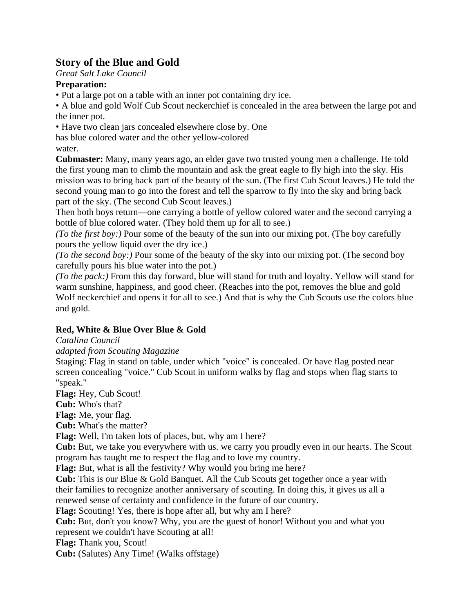# **Story of the Blue and Gold**

*Great Salt Lake Council* 

# **Preparation:**

• Put a large pot on a table with an inner pot containing dry ice.

• A blue and gold Wolf Cub Scout neckerchief is concealed in the area between the large pot and the inner pot.

• Have two clean jars concealed elsewhere close by. One

has blue colored water and the other yellow-colored

water.

**Cubmaster:** Many, many years ago, an elder gave two trusted young men a challenge. He told the first young man to climb the mountain and ask the great eagle to fly high into the sky. His mission was to bring back part of the beauty of the sun. (The first Cub Scout leaves.) He told the second young man to go into the forest and tell the sparrow to fly into the sky and bring back part of the sky. (The second Cub Scout leaves.)

Then both boys return—one carrying a bottle of yellow colored water and the second carrying a bottle of blue colored water. (They hold them up for all to see.)

*(To the first boy:)* Pour some of the beauty of the sun into our mixing pot. (The boy carefully pours the yellow liquid over the dry ice.)

*(To the second boy:)* Pour some of the beauty of the sky into our mixing pot. (The second boy carefully pours his blue water into the pot.)

*(To the pack:)* From this day forward, blue will stand for truth and loyalty. Yellow will stand for warm sunshine, happiness, and good cheer. (Reaches into the pot, removes the blue and gold Wolf neckerchief and opens it for all to see.) And that is why the Cub Scouts use the colors blue and gold.

# **Red, White & Blue Over Blue & Gold**

*Catalina Council* 

*adapted from Scouting Magazine* 

Staging: Flag in stand on table, under which "voice" is concealed. Or have flag posted near screen concealing "voice." Cub Scout in uniform walks by flag and stops when flag starts to "speak."

**Flag:** Hey, Cub Scout!

**Cub:** Who's that?

**Flag:** Me, your flag.

**Cub:** What's the matter?

**Flag:** Well, I'm taken lots of places, but, why am I here?

**Cub:** But, we take you everywhere with us. we carry you proudly even in our hearts. The Scout program has taught me to respect the flag and to love my country.

**Flag:** But, what is all the festivity? Why would you bring me here?

**Cub:** This is our Blue & Gold Banquet. All the Cub Scouts get together once a year with their families to recognize another anniversary of scouting. In doing this, it gives us all a renewed sense of certainty and confidence in the future of our country.

**Flag:** Scouting! Yes, there is hope after all, but why am I here?

**Cub:** But, don't you know? Why, you are the guest of honor! Without you and what you represent we couldn't have Scouting at all!

**Flag:** Thank you, Scout!

**Cub:** (Salutes) Any Time! (Walks offstage)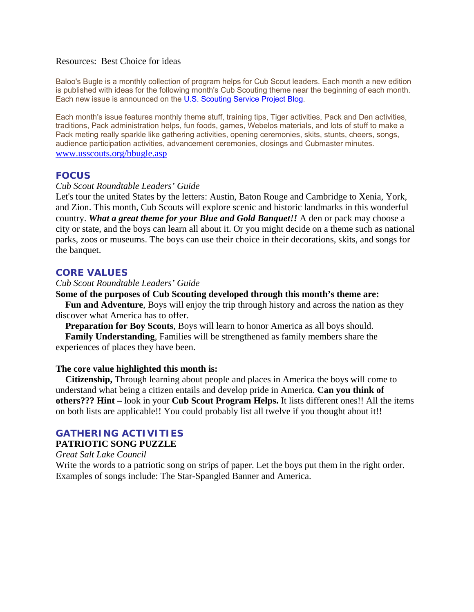#### Resources: Best Choice for ideas

Baloo's Bugle is a monthly collection of program helps for Cub Scout leaders. Each month a new edition is published with ideas for the following month's Cub Scouting theme near the beginning of each month. Each new issue is announced on the U.S. Scouting Service Project Blog.

Each month's issue features monthly theme stuff, training tips, Tiger activities, Pack and Den activities, traditions, Pack administration helps, fun foods, games, Webelos materials, and lots of stuff to make a Pack meting really sparkle like gathering activities, opening ceremonies, skits, stunts, cheers, songs, audience participation activities, advancement ceremonies, closings and Cubmaster minutes. www.usscouts.org/bbugle.asp

#### **FOCUS**

#### *Cub Scout Roundtable Leaders' Guide*

Let's tour the united States by the letters: Austin, Baton Rouge and Cambridge to Xenia, York, and Zion. This month, Cub Scouts will explore scenic and historic landmarks in this wonderful country. *What a great theme for your Blue and Gold Banquet!!* A den or pack may choose a city or state, and the boys can learn all about it. Or you might decide on a theme such as national parks, zoos or museums. The boys can use their choice in their decorations, skits, and songs for the banquet.

#### **CORE VALUES**

#### *Cub Scout Roundtable Leaders' Guide*

#### **Some of the purposes of Cub Scouting developed through this month's theme are:**

 **Fun and Adventure**, Boys will enjoy the trip through history and across the nation as they discover what America has to offer.

**Preparation for Boy Scouts**, Boys will learn to honor America as all boys should.

 **Family Understanding**, Families will be strengthened as family members share the experiences of places they have been.

#### **The core value highlighted this month is:**

 **Citizenship,** Through learning about people and places in America the boys will come to understand what being a citizen entails and develop pride in America. **Can you think of others??? Hint –** look in your **Cub Scout Program Helps.** It lists different ones!! All the items on both lists are applicable!! You could probably list all twelve if you thought about it!!

### **GATHERING ACTIVITIES**

#### **PATRIOTIC SONG PUZZLE**

*Great Salt Lake Council* 

Write the words to a patriotic song on strips of paper. Let the boys put them in the right order. Examples of songs include: The Star-Spangled Banner and America.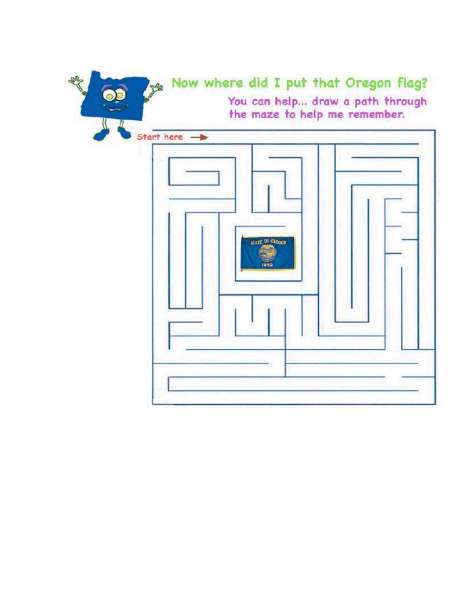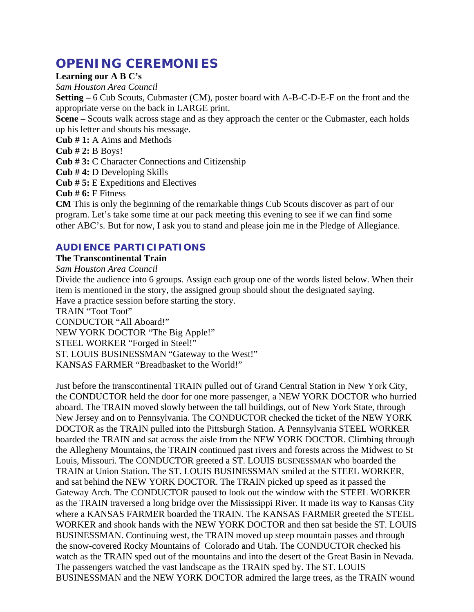# **OPENING CEREMONIES**

#### **Learning our A B C's**

*Sam Houston Area Council* 

**Setting –** 6 Cub Scouts, Cubmaster (CM), poster board with A-B-C-D-E-F on the front and the appropriate verse on the back in LARGE print.

**Scene –** Scouts walk across stage and as they approach the center or the Cubmaster, each holds up his letter and shouts his message.

**Cub # 1:** A Aims and Methods

**Cub # 2:** B Boys!

**Cub # 3:** C Character Connections and Citizenship

**Cub # 4:** D Developing Skills

**Cub # 5:** E Expeditions and Electives

**Cub # 6:** F Fitness

**CM** This is only the beginning of the remarkable things Cub Scouts discover as part of our program. Let's take some time at our pack meeting this evening to see if we can find some other ABC's. But for now, I ask you to stand and please join me in the Pledge of Allegiance.

# **AUDIENCE PARTICIPATIONS**

### **The Transcontinental Train**

*Sam Houston Area Council* 

Divide the audience into 6 groups. Assign each group one of the words listed below. When their item is mentioned in the story, the assigned group should shout the designated saying. Have a practice session before starting the story. TRAIN "Toot Toot" CONDUCTOR "All Aboard!"

NEW YORK DOCTOR "The Big Apple!"

STEEL WORKER "Forged in Steel!"

ST. LOUIS BUSINESSMAN "Gateway to the West!"

KANSAS FARMER "Breadbasket to the World!"

Just before the transcontinental TRAIN pulled out of Grand Central Station in New York City, the CONDUCTOR held the door for one more passenger, a NEW YORK DOCTOR who hurried aboard. The TRAIN moved slowly between the tall buildings, out of New York State, through New Jersey and on to Pennsylvania. The CONDUCTOR checked the ticket of the NEW YORK DOCTOR as the TRAIN pulled into the Pittsburgh Station. A Pennsylvania STEEL WORKER boarded the TRAIN and sat across the aisle from the NEW YORK DOCTOR. Climbing through the Allegheny Mountains, the TRAIN continued past rivers and forests across the Midwest to St Louis, Missouri. The CONDUCTOR greeted a ST. LOUIS BUSINESSMAN who boarded the TRAIN at Union Station. The ST. LOUIS BUSINESSMAN smiled at the STEEL WORKER, and sat behind the NEW YORK DOCTOR. The TRAIN picked up speed as it passed the Gateway Arch. The CONDUCTOR paused to look out the window with the STEEL WORKER as the TRAIN traversed a long bridge over the Mississippi River. It made its way to Kansas City where a KANSAS FARMER boarded the TRAIN. The KANSAS FARMER greeted the STEEL WORKER and shook hands with the NEW YORK DOCTOR and then sat beside the ST. LOUIS BUSINESSMAN. Continuing west, the TRAIN moved up steep mountain passes and through the snow-covered Rocky Mountains of Colorado and Utah. The CONDUCTOR checked his watch as the TRAIN sped out of the mountains and into the desert of the Great Basin in Nevada. The passengers watched the vast landscape as the TRAIN sped by. The ST. LOUIS BUSINESSMAN and the NEW YORK DOCTOR admired the large trees, as the TRAIN wound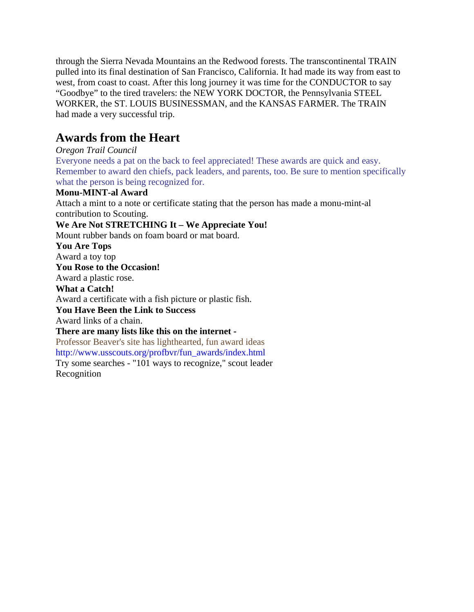through the Sierra Nevada Mountains an the Redwood forests. The transcontinental TRAIN pulled into its final destination of San Francisco, California. It had made its way from east to west, from coast to coast. After this long journey it was time for the CONDUCTOR to say "Goodbye" to the tired travelers: the NEW YORK DOCTOR, the Pennsylvania STEEL WORKER, the ST. LOUIS BUSINESSMAN, and the KANSAS FARMER. The TRAIN had made a very successful trip.

# **Awards from the Heart**

# *Oregon Trail Council*

Everyone needs a pat on the back to feel appreciated! These awards are quick and easy. Remember to award den chiefs, pack leaders, and parents, too. Be sure to mention specifically what the person is being recognized for.

### **Monu-MINT-al Award**

Attach a mint to a note or certificate stating that the person has made a monu-mint-al contribution to Scouting.

# **We Are Not STRETCHING It – We Appreciate You!**

Mount rubber bands on foam board or mat board.

#### **You Are Tops**

Award a toy top

#### **You Rose to the Occasion!**

Award a plastic rose.

### **What a Catch!**

Award a certificate with a fish picture or plastic fish.

### **You Have Been the Link to Success**

Award links of a chain.

#### **There are many lists like this on the internet -**

Professor Beaver's site has lighthearted, fun award ideas http://www.usscouts.org/profbvr/fun\_awards/index.html Try some searches - "101 ways to recognize," scout leader

Recognition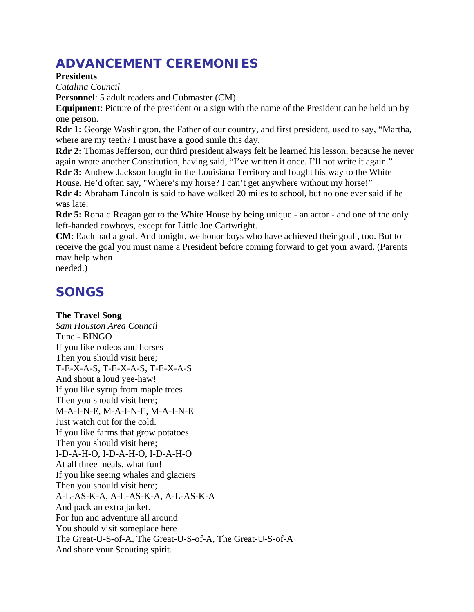# **ADVANCEMENT CEREMONIES**

**Presidents** 

*Catalina Council* 

**Personnel**: 5 adult readers and Cubmaster (CM).

**Equipment**: Picture of the president or a sign with the name of the President can be held up by one person.

**Rdr 1:** George Washington, the Father of our country, and first president, used to say, "Martha, where are my teeth? I must have a good smile this day.

**Rdr 2:** Thomas Jefferson, our third president always felt he learned his lesson, because he never again wrote another Constitution, having said, "I've written it once. I'll not write it again."

Rdr 3: Andrew Jackson fought in the Louisiana Territory and fought his way to the White House. He'd often say, "Where's my horse? I can't get anywhere without my horse!"

**Rdr 4:** Abraham Lincoln is said to have walked 20 miles to school, but no one ever said if he was late.

**Rdr 5:** Ronald Reagan got to the White House by being unique - an actor - and one of the only left-handed cowboys, except for Little Joe Cartwright.

**CM**: Each had a goal. And tonight, we honor boys who have achieved their goal , too. But to receive the goal you must name a President before coming forward to get your award. (Parents may help when

needed.)

# **SONGS**

# **The Travel Song**

*Sam Houston Area Council*  Tune - BINGO If you like rodeos and horses Then you should visit here; T-E-X-A-S, T-E-X-A-S, T-E-X-A-S And shout a loud yee-haw! If you like syrup from maple trees Then you should visit here; M-A-I-N-E, M-A-I-N-E, M-A-I-N-E Just watch out for the cold. If you like farms that grow potatoes Then you should visit here; I-D-A-H-O, I-D-A-H-O, I-D-A-H-O At all three meals, what fun! If you like seeing whales and glaciers Then you should visit here; A-L-AS-K-A, A-L-AS-K-A, A-L-AS-K-A And pack an extra jacket. For fun and adventure all around You should visit someplace here The Great-U-S-of-A, The Great-U-S-of-A, The Great-U-S-of-A And share your Scouting spirit.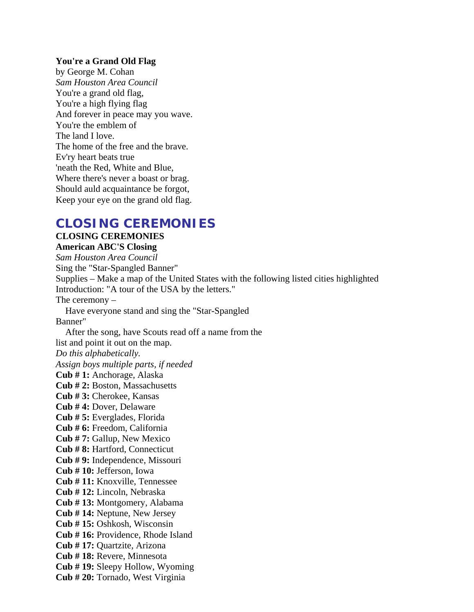#### **You're a Grand Old Flag**

by George M. Cohan *Sam Houston Area Council*  You're a grand old flag, You're a high flying flag And forever in peace may you wave. You're the emblem of The land I love. The home of the free and the brave. Ev'ry heart beats true 'neath the Red, White and Blue, Where there's never a boast or brag. Should auld acquaintance be forgot, Keep your eye on the grand old flag.

# **CLOSING CEREMONIES**

# **CLOSING CEREMONIES**

**American ABC'S Closing** 

*Sam Houston Area Council*  Sing the "Star-Spangled Banner" Supplies – Make a map of the United States with the following listed cities highlighted Introduction: "A tour of the USA by the letters." The ceremony – Have everyone stand and sing the "Star-Spangled Banner" After the song, have Scouts read off a name from the list and point it out on the map. *Do this alphabetically. Assign boys multiple parts, if needed*  **Cub # 1:** Anchorage, Alaska **Cub # 2:** Boston, Massachusetts **Cub # 3:** Cherokee, Kansas **Cub # 4:** Dover, Delaware **Cub # 5:** Everglades, Florida **Cub # 6:** Freedom, California **Cub # 7:** Gallup, New Mexico **Cub # 8:** Hartford, Connecticut **Cub # 9:** Independence, Missouri **Cub # 10:** Jefferson, Iowa **Cub # 11:** Knoxville, Tennessee **Cub # 12:** Lincoln, Nebraska **Cub # 13:** Montgomery, Alabama **Cub # 14:** Neptune, New Jersey **Cub # 15:** Oshkosh, Wisconsin **Cub # 16:** Providence, Rhode Island **Cub # 17:** Quartzite, Arizona **Cub # 18:** Revere, Minnesota **Cub # 19:** Sleepy Hollow, Wyoming **Cub # 20:** Tornado, West Virginia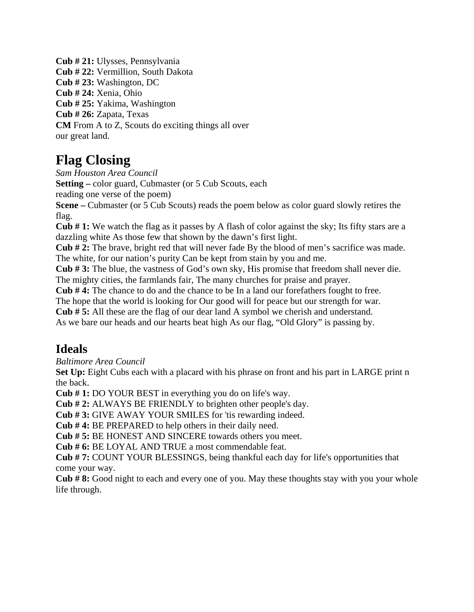**Cub # 21:** Ulysses, Pennsylvania **Cub # 22:** Vermillion, South Dakota **Cub # 23:** Washington, DC **Cub # 24:** Xenia, Ohio **Cub # 25:** Yakima, Washington **Cub # 26:** Zapata, Texas **CM** From A to Z, Scouts do exciting things all over our great land.

# **Flag Closing**

*Sam Houston Area Council* 

**Setting** – color guard, Cubmaster (or 5 Cub Scouts, each

reading one verse of the poem)

**Scene –** Cubmaster (or 5 Cub Scouts) reads the poem below as color guard slowly retires the flag.

**Cub # 1:** We watch the flag as it passes by A flash of color against the sky; Its fifty stars are a dazzling white As those few that shown by the dawn's first light.

**Cub # 2:** The brave, bright red that will never fade By the blood of men's sacrifice was made. The white, for our nation's purity Can be kept from stain by you and me.

**Cub # 3:** The blue, the vastness of God's own sky, His promise that freedom shall never die. The mighty cities, the farmlands fair, The many churches for praise and prayer.

**Cub # 4:** The chance to do and the chance to be In a land our forefathers fought to free.

The hope that the world is looking for Our good will for peace but our strength for war.

**Cub # 5:** All these are the flag of our dear land A symbol we cherish and understand.

As we bare our heads and our hearts beat high As our flag, "Old Glory" is passing by.

# **Ideals**

*Baltimore Area Council* 

Set Up: Eight Cubs each with a placard with his phrase on front and his part in LARGE print n the back.

**Cub # 1:** DO YOUR BEST in everything you do on life's way.

**Cub # 2:** ALWAYS BE FRIENDLY to brighten other people's day.

**Cub # 3:** GIVE AWAY YOUR SMILES for 'tis rewarding indeed.

**Cub # 4:** BE PREPARED to help others in their daily need.

**Cub # 5:** BE HONEST AND SINCERE towards others you meet.

**Cub # 6:** BE LOYAL AND TRUE a most commendable feat.

**Cub # 7:** COUNT YOUR BLESSINGS, being thankful each day for life's opportunities that come your way.

**Cub # 8:** Good night to each and every one of you. May these thoughts stay with you your whole life through.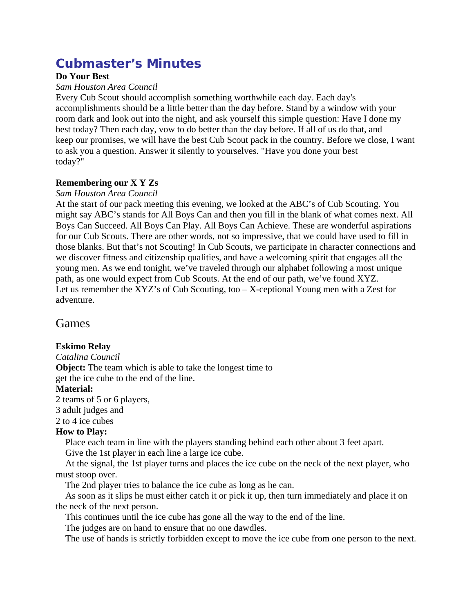# **Cubmaster's Minutes**

## **Do Your Best**

#### *Sam Houston Area Council*

Every Cub Scout should accomplish something worthwhile each day. Each day's accomplishments should be a little better than the day before. Stand by a window with your room dark and look out into the night, and ask yourself this simple question: Have I done my best today? Then each day, vow to do better than the day before. If all of us do that, and keep our promises, we will have the best Cub Scout pack in the country. Before we close, I want to ask you a question. Answer it silently to yourselves. "Have you done your best today?"

# **Remembering our X Y Zs**

#### *Sam Houston Area Council*

At the start of our pack meeting this evening, we looked at the ABC's of Cub Scouting. You might say ABC's stands for All Boys Can and then you fill in the blank of what comes next. All Boys Can Succeed. All Boys Can Play. All Boys Can Achieve. These are wonderful aspirations for our Cub Scouts. There are other words, not so impressive, that we could have used to fill in those blanks. But that's not Scouting! In Cub Scouts, we participate in character connections and we discover fitness and citizenship qualities, and have a welcoming spirit that engages all the young men. As we end tonight, we've traveled through our alphabet following a most unique path, as one would expect from Cub Scouts. At the end of our path, we've found XYZ. Let us remember the XYZ's of Cub Scouting, too – X-ceptional Young men with a Zest for adventure.

# Games

# **Eskimo Relay**

*Catalina Council*  **Object:** The team which is able to take the longest time to get the ice cube to the end of the line.

# **Material:**

2 teams of 5 or 6 players, 3 adult judges and

# 2 to 4 ice cubes

### **How to Play:**

 Place each team in line with the players standing behind each other about 3 feet apart. Give the 1st player in each line a large ice cube.

 At the signal, the 1st player turns and places the ice cube on the neck of the next player, who must stoop over.

The 2nd player tries to balance the ice cube as long as he can.

 As soon as it slips he must either catch it or pick it up, then turn immediately and place it on the neck of the next person.

This continues until the ice cube has gone all the way to the end of the line.

The judges are on hand to ensure that no one dawdles.

The use of hands is strictly forbidden except to move the ice cube from one person to the next.